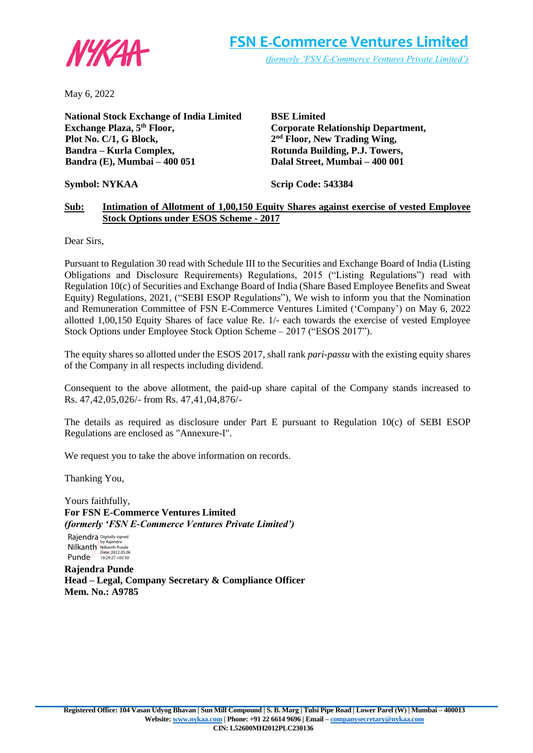

May 6, 2022

**National Stock Exchange of India Limited Exchange Plaza, 5th Floor, Plot No. C/1, G Block, Bandra – Kurla Complex, Bandra (E), Mumbai – 400 051**

**BSE Limited Corporate Relationship Department, 2 nd Floor, New Trading Wing, Rotunda Building, P.J. Towers, Dalal Street, Mumbai – 400 001**

**Symbol: NYKAA**

**Scrip Code: 543384**

#### **Sub: Intimation of Allotment of 1,00,150 Equity Shares against exercise of vested Employee Stock Options under ESOS Scheme - 2017**

Dear Sirs,

Pursuant to Regulation 30 read with Schedule III to the Securities and Exchange Board of India (Listing Obligations and Disclosure Requirements) Regulations, 2015 ("Listing Regulations") read with Regulation 10(c) of Securities and Exchange Board of India (Share Based Employee Benefits and Sweat Equity) Regulations, 2021, ("SEBI ESOP Regulations"), We wish to inform you that the Nomination and Remuneration Committee of FSN E-Commerce Ventures Limited ('Company') on May 6, 2022 allotted 1,00,150 Equity Shares of face value Re. 1/- each towards the exercise of vested Employee Stock Options under Employee Stock Option Scheme – 2017 ("ESOS 2017").

The equity shares so allotted under the ESOS 2017, shall rank *pari-passu* with the existing equity shares of the Company in all respects including dividend.

Consequent to the above allotment, the paid-up share capital of the Company stands increased to Rs. 47,42,05,026/- from Rs. 47,41,04,876/-

The details as required as disclosure under Part E pursuant to Regulation 10(c) of SEBI ESOP Regulations are enclosed as "Annexure-I".

We request you to take the above information on records.

Thanking You,

Yours faithfully, **For FSN E-Commerce Ventures Limited** *(formerly 'FSN E-Commerce Ventures Private Limited')*

Rajendra Digitally signed Nilkanth Punde by Rajendra Nilkanth Punde Date: 2022.05.06 19:29:27 +05'30'

**Rajendra Punde Head – Legal, Company Secretary & Compliance Officer Mem. No.: A9785**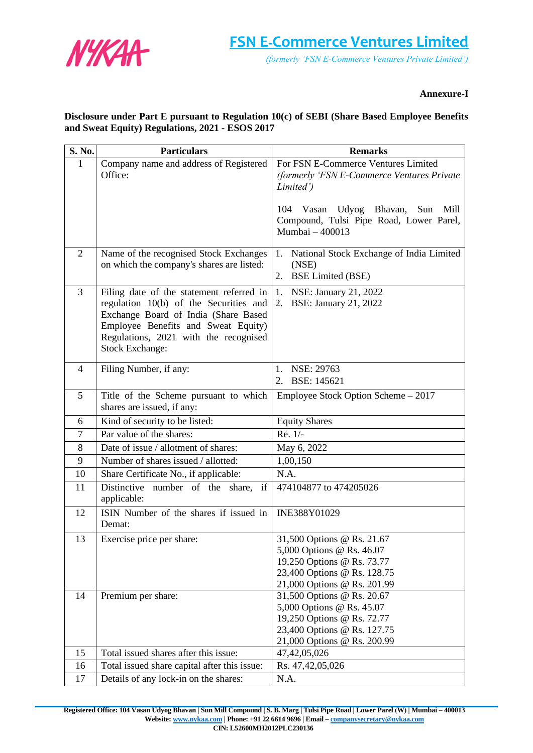

#### **Annexure-I**

### **Disclosure under Part E pursuant to Regulation 10(c) of SEBI (Share Based Employee Benefits and Sweat Equity) Regulations, 2021 - ESOS 2017**

| S. No.         | <b>Particulars</b>                                                                 | <b>Remarks</b>                                                    |
|----------------|------------------------------------------------------------------------------------|-------------------------------------------------------------------|
| 1              | Company name and address of Registered                                             | For FSN E-Commerce Ventures Limited                               |
|                | Office:                                                                            | (formerly 'FSN E-Commerce Ventures Private                        |
|                |                                                                                    | Limited')                                                         |
|                |                                                                                    | Vasan<br>Udyog Bhavan,<br>104<br>Sun<br>Mill                      |
|                |                                                                                    | Compound, Tulsi Pipe Road, Lower Parel,                           |
|                |                                                                                    | Mumbai - 400013                                                   |
|                |                                                                                    |                                                                   |
| 2              | Name of the recognised Stock Exchanges                                             | National Stock Exchange of India Limited<br>1.                    |
|                | on which the company's shares are listed:                                          | (NSE)<br>2.<br><b>BSE Limited (BSE)</b>                           |
| 3              |                                                                                    |                                                                   |
|                | Filing date of the statement referred in<br>regulation 10(b) of the Securities and | 1.<br>NSE: January 21, 2022<br>2.<br><b>BSE:</b> January 21, 2022 |
|                | Exchange Board of India (Share Based                                               |                                                                   |
|                | Employee Benefits and Sweat Equity)                                                |                                                                   |
|                | Regulations, 2021 with the recognised                                              |                                                                   |
|                | <b>Stock Exchange:</b>                                                             |                                                                   |
| $\overline{4}$ | Filing Number, if any:                                                             | NSE: 29763<br>1.                                                  |
|                |                                                                                    | BSE: 145621<br>2.                                                 |
| 5              | Title of the Scheme pursuant to which                                              | Employee Stock Option Scheme - 2017                               |
|                | shares are issued, if any:                                                         |                                                                   |
| 6              | Kind of security to be listed:                                                     | <b>Equity Shares</b>                                              |
| $\overline{7}$ | Par value of the shares:                                                           | Re. 1/-                                                           |
| 8              | Date of issue / allotment of shares:                                               | May 6, 2022                                                       |
| 9              | Number of shares issued / allotted:                                                | 1,00,150                                                          |
| 10             | Share Certificate No., if applicable:                                              | N.A.                                                              |
| 11             | Distinctive number of the share, if                                                | 474104877 to 474205026                                            |
|                | applicable:                                                                        |                                                                   |
| 12             | ISIN Number of the shares if issued in                                             | INE388Y01029                                                      |
|                | Demat:                                                                             |                                                                   |
| 13             | Exercise price per share:                                                          | 31,500 Options @ Rs. 21.67<br>5,000 Options @ Rs. 46.07           |
|                |                                                                                    | 19,250 Options @ Rs. 73.77                                        |
|                |                                                                                    | 23,400 Options @ Rs. 128.75                                       |
|                |                                                                                    | 21,000 Options @ Rs. 201.99                                       |
| 14             | Premium per share:                                                                 | 31,500 Options @ Rs. 20.67                                        |
|                |                                                                                    | 5,000 Options @ Rs. 45.07                                         |
|                |                                                                                    | 19,250 Options @ Rs. 72.77<br>23,400 Options @ Rs. 127.75         |
|                |                                                                                    | 21,000 Options @ Rs. 200.99                                       |
| 15             | Total issued shares after this issue:                                              | 47, 42, 05, 026                                                   |
| 16             | Total issued share capital after this issue:                                       | Rs. 47,42,05,026                                                  |
| 17             | Details of any lock-in on the shares:                                              | N.A.                                                              |